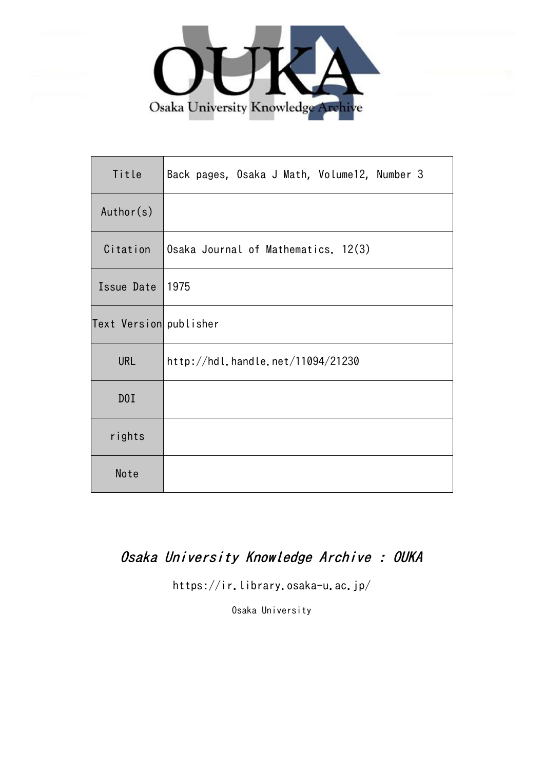

| Title                  | Back pages, Osaka J Math, Volume12, Number 3 |
|------------------------|----------------------------------------------|
| Author(s)              |                                              |
| Citation               | Osaka Journal of Mathematics. 12(3)          |
| Issue Date             | 1975                                         |
| Text Version publisher |                                              |
| <b>URL</b>             | http://hdl.handle.net/11094/21230            |
| D0I                    |                                              |
| rights                 |                                              |
| Note                   |                                              |

# Osaka University Knowledge Archive : OUKA

https://ir.library.osaka-u.ac.jp/

Osaka University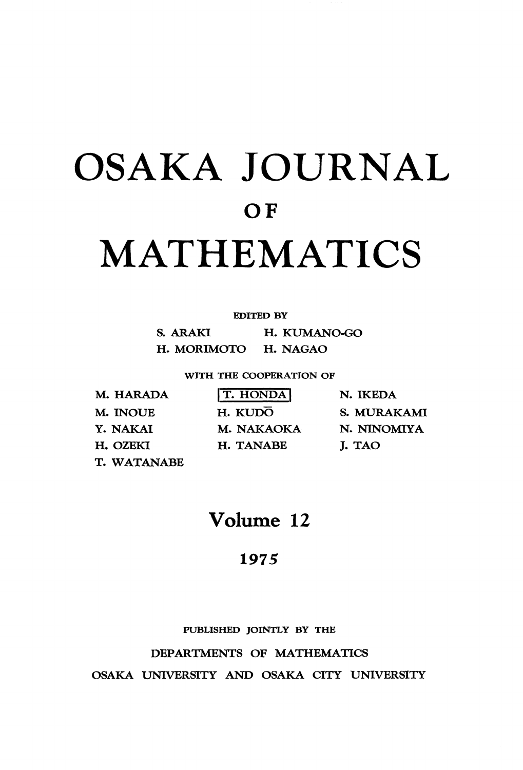# OSAKA JOURNAL OF MATHEMATICS

#### **EDITED BY**

**S. ARAKI H. KUMANO-GO H. MORIMOTO H. NAGAO**

**WITH THE COOPERATION OF**

M. HARADA M. INOUE Y. NAKAI H. OZEKI T. WATANABE

**T. HONDA** H. KUDO M. NAKAOKA H. TANABE

N. IKEDA S. MURAKAMI N. NTNOMIYA J. TAO

Volume 12

### **1975**

**PUBLISHED JOINTLY BY THE**

#### **DEPARTMENTS OF MATHEMATICS**

OSAKA UNIVERSITY AND OSAKA CITY UNIVERSITY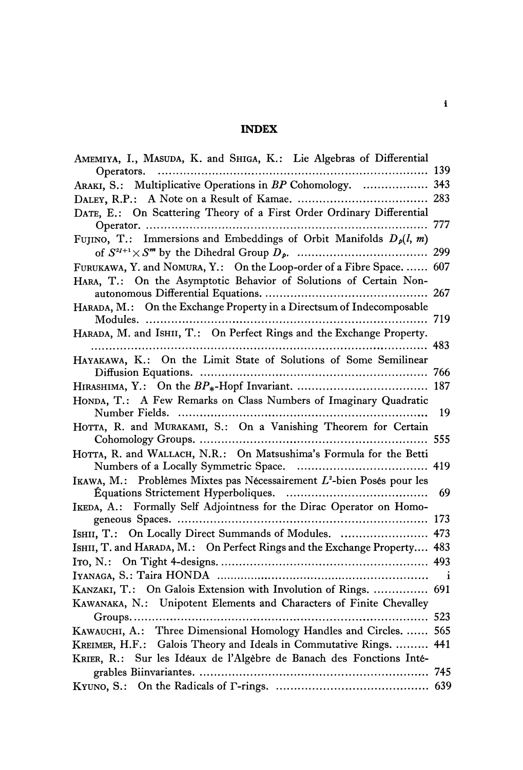### **INDEX**

| AMEMIYA, I., MASUDA, K. and SHIGA, K.: Lie Algebras of Differential       |     |
|---------------------------------------------------------------------------|-----|
| 139<br>Operators.                                                         |     |
| ARAKI, S.: Multiplicative Operations in BP Cohomology.  343               |     |
|                                                                           |     |
| DATE, E.: On Scattering Theory of a First Order Ordinary Differential     |     |
|                                                                           |     |
| FUJINO, T.: Immersions and Embeddings of Orbit Manifolds $D_p(l, m)$      |     |
|                                                                           |     |
| FURUKAWA, Y. and NOMURA, Y.: On the Loop-order of a Fibre Space.  607     |     |
| HARA, T.: On the Asymptotic Behavior of Solutions of Certain Non-         |     |
|                                                                           |     |
| HARADA, M.: On the Exchange Property in a Directsum of Indecomposable     |     |
|                                                                           | 719 |
| HARADA, M. and ISHII, T.: On Perfect Rings and the Exchange Property.     |     |
|                                                                           |     |
| HAYAKAWA, K.: On the Limit State of Solutions of Some Semilinear          |     |
|                                                                           |     |
|                                                                           |     |
| HONDA, T.: A Few Remarks on Class Numbers of Imaginary Quadratic          |     |
|                                                                           | 19  |
| HOTTA, R. and MURAKAMI, S.: On a Vanishing Theorem for Certain            |     |
|                                                                           |     |
| HOTTA, R. and WALLACH, N.R.: On Matsushima's Formula for the Betti        |     |
|                                                                           |     |
| IKAWA, M.: Problèmes Mixtes pas Nécessairement $L^2$ -bien Posés pour les |     |
|                                                                           | 69  |
| IKEDA, A.: Formally Self Adjointness for the Dirac Operator on Homo-      |     |
|                                                                           |     |
| ISHII, T.: On Locally Direct Summands of Modules.  473                    |     |
| ISHII, T. and HARADA, M.: On Perfect Rings and the Exchange Property 483  |     |
|                                                                           |     |
|                                                                           |     |
| KANZAKI, T.: On Galois Extension with Involution of Rings.  691           |     |
| KAWANAKA, N.: Unipotent Elements and Characters of Finite Chevalley       |     |
|                                                                           |     |
| KAWAUCHI, A.: Three Dimensional Homology Handles and Circles.  565        |     |
| KREIMER, H.F.: Galois Theory and Ideals in Commutative Rings.  441        |     |
| KRIER, R.: Sur les Idéaux de l'Algèbre de Banach des Fonctions Inté-      |     |
|                                                                           |     |
|                                                                           |     |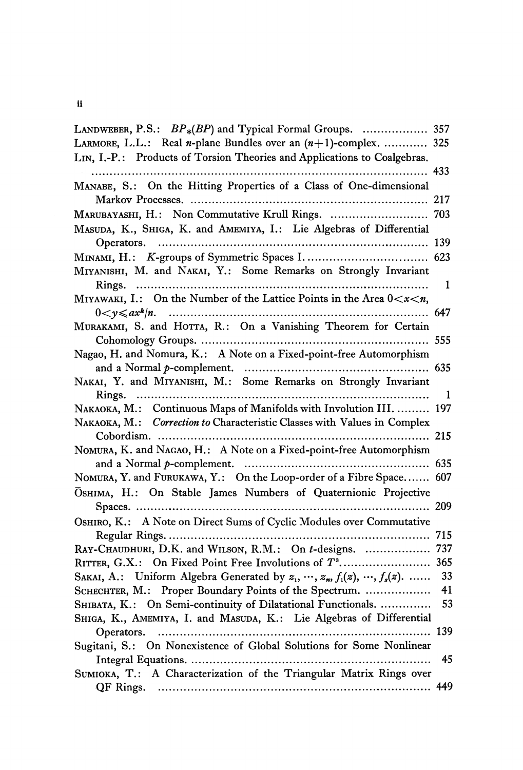**ii**

| LANDWEBER, P.S.: BP <sub>*</sub> (BP) and Typical Formal Groups.  357                     |     |
|-------------------------------------------------------------------------------------------|-----|
| LARMORE, L.L.: Real <i>n</i> -plane Bundles over an $(n+1)$ -complex.  325                |     |
| LIN, I.-P.: Products of Torsion Theories and Applications to Coalgebras.                  |     |
|                                                                                           |     |
| MANABE, S.: On the Hitting Properties of a Class of One-dimensional                       |     |
|                                                                                           |     |
| MARUBAYASHI, H.: Non Commutative Krull Rings.  703                                        |     |
| MASUDA, K., SHIGA, K. and AMEMIYA, I.: Lie Algebras of Differential                       |     |
|                                                                                           |     |
|                                                                                           |     |
| MIYANISHI, M. and NAKAI, Y.: Some Remarks on Strongly Invariant                           |     |
|                                                                                           | 1   |
| MIYAWAKI, I.: On the Number of the Lattice Points in the Area $0 < x < n$ ,               |     |
|                                                                                           |     |
| MURAKAMI, S. and HOTTA, R.: On a Vanishing Theorem for Certain                            |     |
|                                                                                           |     |
| Nagao, H. and Nomura, K.: A Note on a Fixed-point-free Automorphism                       |     |
|                                                                                           |     |
| NAKAI, Y. and MIYANISHI, M.: Some Remarks on Strongly Invariant                           |     |
| Rings.                                                                                    | 1   |
| NAKAOKA, M.: Continuous Maps of Manifolds with Involution III.  197                       |     |
| NAKAOKA, M.: Correction to Characteristic Classes with Values in Complex                  |     |
|                                                                                           |     |
| NOMURA, K. and NAGAO, H.: A Note on a Fixed-point-free Automorphism                       |     |
|                                                                                           |     |
| NOMURA, Y. and FURUKAWA, Y.: On the Loop-order of a Fibre Space 607                       |     |
| OSHIMA, H.: On Stable James Numbers of Quaternionic Projective                            |     |
|                                                                                           |     |
| OSHIRO, K.: A Note on Direct Sums of Cyclic Modules over Commutative                      |     |
|                                                                                           |     |
| RAY-CHAUDHURI, D.K. and WILSON, R.M.: On t-designs.  737                                  |     |
|                                                                                           |     |
| SAKAI, A.: Uniform Algebra Generated by $z_1, \dots, z_n$ , $f_1(z), \dots, f_s(z)$ .  33 |     |
| SCHECHTER, M.: Proper Boundary Points of the Spectrum.                                    | 41  |
| SHIBATA, K.: On Semi-continuity of Dilatational Functionals.                              | 53  |
| SHIGA, K., AMEMIYA, I. and MASUDA, K.: Lie Algebras of Differential                       |     |
| Operators.                                                                                | 139 |
| Sugitani, S.: On Nonexistence of Global Solutions for Some Nonlinear                      |     |
|                                                                                           | 45  |
| SUMIOKA, T.: A Characterization of the Triangular Matrix Rings over                       |     |
|                                                                                           |     |
|                                                                                           |     |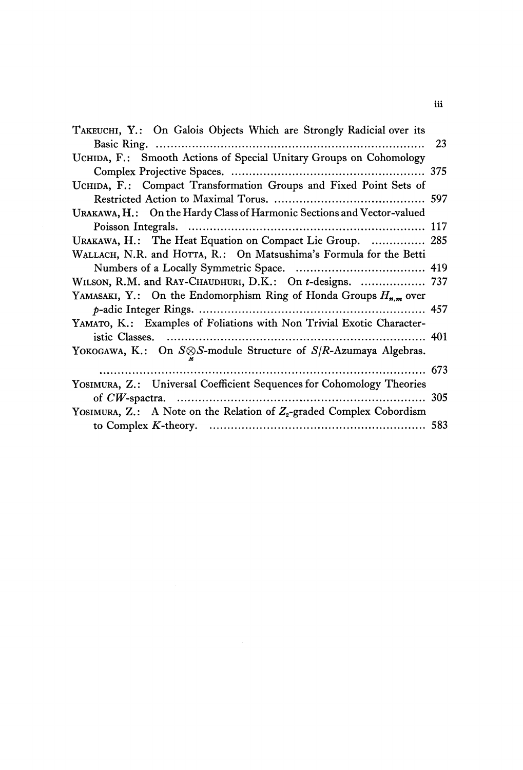| TAKEUCHI, Y.: On Galois Objects Which are Strongly Radicial over its         |    |
|------------------------------------------------------------------------------|----|
|                                                                              | 23 |
| UCHIDA, F.: Smooth Actions of Special Unitary Groups on Cohomology           |    |
|                                                                              |    |
| UCHIDA, F.: Compact Transformation Groups and Fixed Point Sets of            |    |
|                                                                              |    |
| URAKAWA, H.: On the Hardy Class of Harmonic Sections and Vector-valued       |    |
|                                                                              |    |
| URAKAWA, H.: The Heat Equation on Compact Lie Group.  285                    |    |
| WALLACH, N.R. and HOTTA, R.: On Matsushima's Formula for the Betti           |    |
|                                                                              |    |
| WILSON, R.M. and RAY-CHAUDHURI, D.K.: On t-designs.  737                     |    |
| YAMASAKI, Y.: On the Endomorphism Ring of Honda Groups $H_{n,m}$ over        |    |
|                                                                              |    |
| YAMATO, K.: Examples of Foliations with Non Trivial Exotic Character-        |    |
|                                                                              |    |
| YOKOGAWA, K.: On $S \otimes S$ -module Structure of $S/R$ -Azumaya Algebras. |    |
|                                                                              |    |
| YOSIMURA, Z.: Universal Coefficient Sequences for Cohomology Theories        |    |
|                                                                              |    |
| YOSIMURA, Z.: A Note on the Relation of $Z_{2}$ -graded Complex Cobordism    |    |
|                                                                              |    |

 $\mathcal{L}^{\text{max}}_{\text{max}}$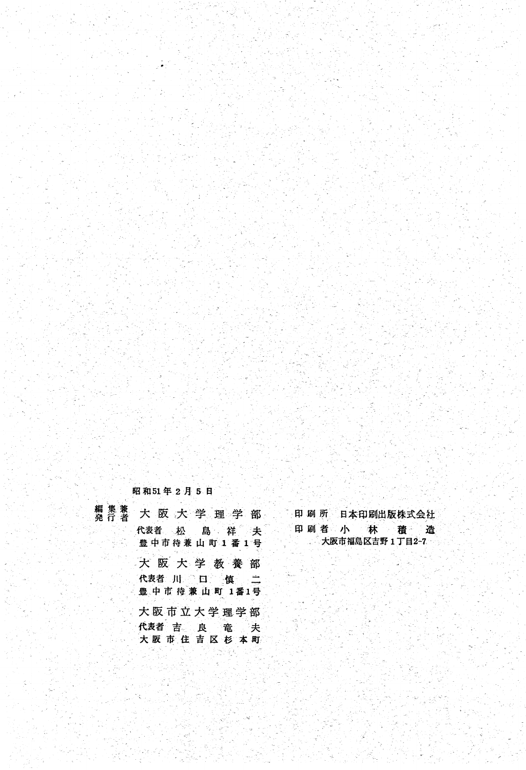昭和51年2月5日

| 編集兼<br>発行者 | 大阪大学理学部                    |
|------------|----------------------------|
|            | 代表者 松 島 祥 夫<br>豊中市待兼山町1番1号 |
|            | 大阪大学教養部<br>代表者 川 口 慎 二     |
|            | 豊中市待兼山町 1番1号               |
|            | 大阪市立大学理学部                  |
|            | 代表者 吉 良 竜 夫                |
|            | 大阪市住吉区杉本町                  |

印刷 所 日本印刷出版株式会社 印刷者 小 林 積 造 大阪市福島区吉野1丁目2-7